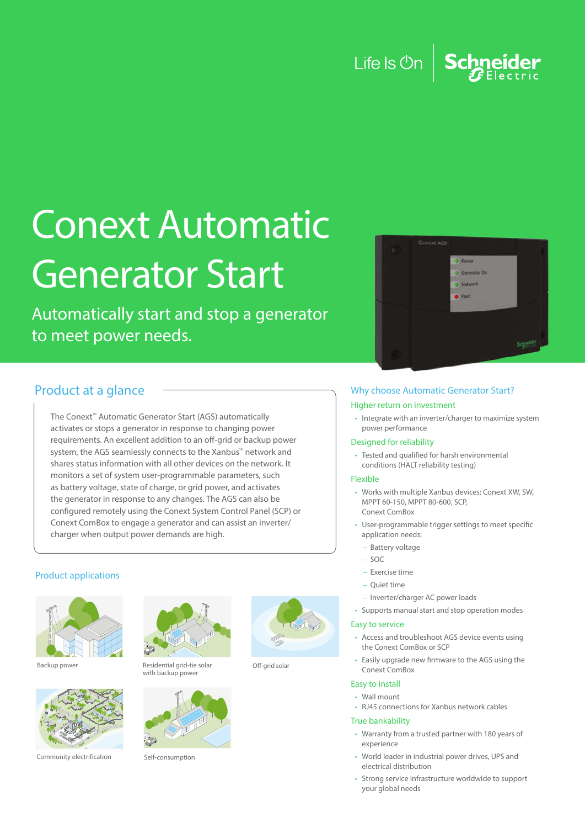## Life Is  $\mathbb{O}n$ Schneider

# Conext Automatic Generator Start

Automatically start and stop a generator to meet power needs.



## Product at a glance

The Conext<sup>™</sup> Automatic Generator Start (AGS) automatically activates or stops a generator in response to changing power requirements. An excellent addition to an off-grid or backup power system, the AGS seamlessly connects to the Xanbus™ network and shares status information with all other devices on the network. It monitors a set of system user-programmable parameters, such as battery voltage, state of charge, or grid power, and activates the generator in response to any changes. The AGS can also be configured remotely using the Conext System Control Panel (SCP) or Conext ComBox to engage a generator and can assist an inverter/ charger when output power demands are high.

### Product applications





Community electrification Self-consumption



Backup power Residential grid-tie solar with backup powe





Off-grid solar

### Why choose Automatic Generator Start?

#### Higher return on investment

• Integrate with an inverter/charger to maximize system power performance

#### Designed for reliability

• Tested and qualified for harsh environmental conditions (HALT reliability testing)

#### Flexible

- Works with multiple Xanbus devices: Conext XW, SW, MPPT 60-150, MPPT 80-600, SCP, Conext ComBox
- User-programmable trigger settings to meet specific application needs:
- Battery voltage
- Exercise time
- Quiet time
- Inverter/charger AC power loads
- Supports manual start and stop operation modes
- Easily upgrade new firmware to the AGS using the Conext ComBox
- 

#### True bankability

- Warranty from a trusted partner with 180 years of experience
- World leader in industrial power drives, UPS and electrical distribution
- Strong service infrastructure worldwide to support your global needs

## – SOC

- 
- 
- 
- 

### Easy to service

• Access and troubleshoot AGS device events using the Conext ComBox or SCP

• RJ45 connections for Xanbus network cables

Easy to install • Wall mount